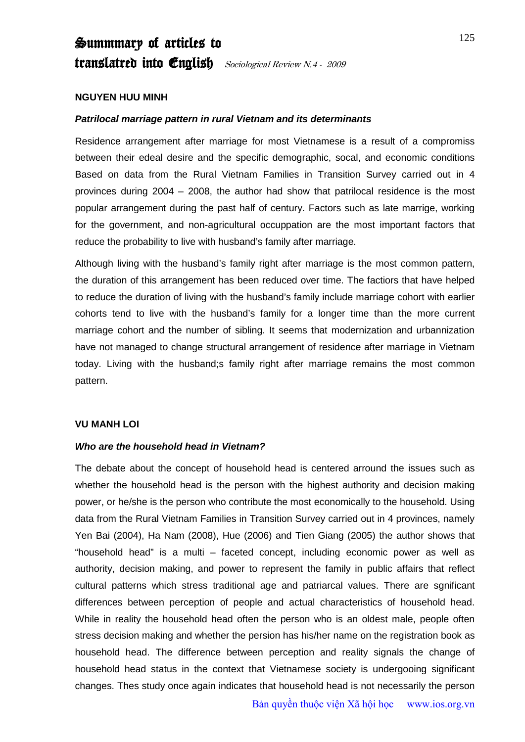# Summmary of articles to translatred into *English Sociological Review N.4 - 2009*

## **NGUYEN HUU MINH**

### *Patrilocal marriage pattern in rural Vietnam and its determinants*

Residence arrangement after marriage for most Vietnamese is a result of a compromiss between their edeal desire and the specific demographic, socal, and economic conditions Based on data from the Rural Vietnam Families in Transition Survey carried out in 4 provinces during 2004 – 2008, the author had show that patrilocal residence is the most popular arrangement during the past half of century. Factors such as late marrige, working for the government, and non-agricultural occuppation are the most important factors that reduce the probability to live with husband's family after marriage.

Although living with the husband's family right after marriage is the most common pattern, the duration of this arrangement has been reduced over time. The factiors that have helped to reduce the duration of living with the husband's family include marriage cohort with earlier cohorts tend to live with the husband's family for a longer time than the more current marriage cohort and the number of sibling. It seems that modernization and urbannization have not managed to change structural arrangement of residence after marriage in Vietnam today. Living with the husband;s family right after marriage remains the most common pattern.

### **VU MANH LOI**

### *Who are the household head in Vietnam?*

The debate about the concept of household head is centered arround the issues such as whether the household head is the person with the highest authority and decision making power, or he/she is the person who contribute the most economically to the household. Using data from the Rural Vietnam Families in Transition Survey carried out in 4 provinces, namely Yen Bai (2004), Ha Nam (2008), Hue (2006) and Tien Giang (2005) the author shows that "household head" is a multi – faceted concept, including economic power as well as authority, decision making, and power to represent the family in public affairs that reflect cultural patterns which stress traditional age and patriarcal values. There are sgnificant differences between perception of people and actual characteristics of household head. While in reality the household head often the person who is an oldest male, people often stress decision making and whether the persion has his/her name on the registration book as household head. The difference between perception and reality signals the change of household head status in the context that Vietnamese society is undergooing significant changes. Thes study once again indicates that household head is not necessarily the person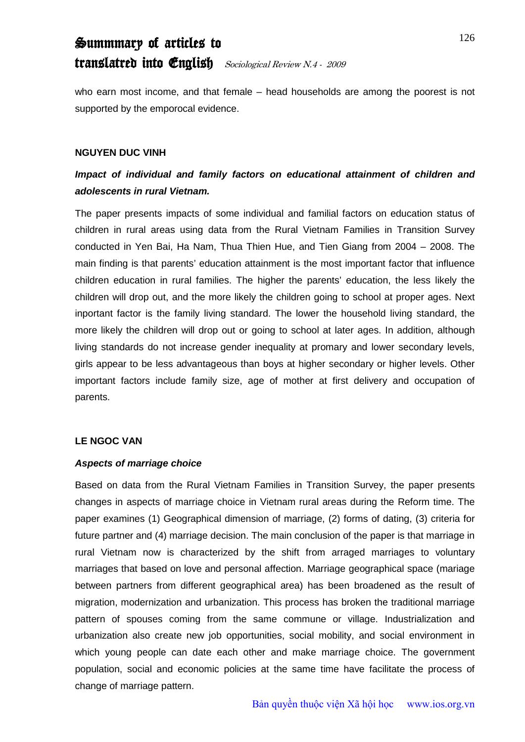# Summmary of articles to translatred into English Sociological Review N.4 - 2009

who earn most income, and that female – head households are among the poorest is not supported by the emporocal evidence.

# **NGUYEN DUC VINH**

# *Impact of individual and family factors on educational attainment of children and adolescents in rural Vietnam.*

The paper presents impacts of some individual and familial factors on education status of children in rural areas using data from the Rural Vietnam Families in Transition Survey conducted in Yen Bai, Ha Nam, Thua Thien Hue, and Tien Giang from 2004 – 2008. The main finding is that parents' education attainment is the most important factor that influence children education in rural families. The higher the parents' education, the less likely the children will drop out, and the more likely the children going to school at proper ages. Next inportant factor is the family living standard. The lower the household living standard, the more likely the children will drop out or going to school at later ages. In addition, although living standards do not increase gender inequality at promary and lower secondary levels, girls appear to be less advantageous than boys at higher secondary or higher levels. Other important factors include family size, age of mother at first delivery and occupation of parents.

# **LE NGOC VAN**

### *Aspects of marriage choice*

Based on data from the Rural Vietnam Families in Transition Survey, the paper presents changes in aspects of marriage choice in Vietnam rural areas during the Reform time. The paper examines (1) Geographical dimension of marriage, (2) forms of dating, (3) criteria for future partner and (4) marriage decision. The main conclusion of the paper is that marriage in rural Vietnam now is characterized by the shift from arraged marriages to voluntary marriages that based on love and personal affection. Marriage geographical space (mariage between partners from different geographical area) has been broadened as the result of migration, modernization and urbanization. This process has broken the traditional marriage pattern of spouses coming from the same commune or village. Industrialization and urbanization also create new job opportunities, social mobility, and social environment in which young people can date each other and make marriage choice. The government population, social and economic policies at the same time have facilitate the process of change of marriage pattern.